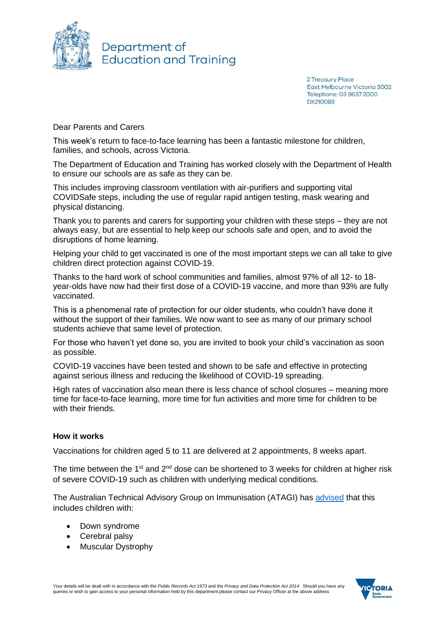

Department of **Education and Training** 

> 2 Treasury Place East Melbourne Victoria 3002 Telephone: 03 9637 2000 DX210083

Dear Parents and Carers

This week's return to face-to-face learning has been a fantastic milestone for children, families, and schools, across Victoria.

The Department of Education and Training has worked closely with the Department of Health to ensure our schools are as safe as they can be.

This includes improving classroom ventilation with air-purifiers and supporting vital COVIDSafe steps, including the use of regular rapid antigen testing, mask wearing and physical distancing.

Thank you to parents and carers for supporting your children with these steps – they are not always easy, but are essential to help keep our schools safe and open, and to avoid the disruptions of home learning.

Helping your child to get vaccinated is one of the most important steps we can all take to give children direct protection against COVID-19.

Thanks to the hard work of school communities and families, almost 97% of all 12- to 18 year-olds have now had their first dose of a COVID-19 vaccine, and more than 93% are fully vaccinated.

This is a phenomenal rate of protection for our older students, who couldn't have done it without the support of their families. We now want to see as many of our primary school students achieve that same level of protection.

For those who haven't yet done so, you are invited to book your child's vaccination as soon as possible.

COVID-19 vaccines have been tested and shown to be safe and effective in protecting against serious illness and reducing the likelihood of COVID-19 spreading.

High rates of vaccination also mean there is less chance of school closures – meaning more time for face-to-face learning, more time for fun activities and more time for children to be with their friends.

### **How it works**

Vaccinations for children aged 5 to 11 are delivered at 2 appointments, 8 weeks apart.

The time between the 1<sup>st</sup> and  $2<sup>nd</sup>$  dose can be shortened to 3 weeks for children at higher risk of severe COVID-19 such as children with underlying medical conditions.

The Australian Technical Advisory Group on Immunisation (ATAGI) has [advised](https://www.health.gov.au/news/atagi-update-following-weekly-covid-19-meeting-19-january-2022) that this includes children with:

- Down syndrome
- Cerebral palsy
- Muscular Dystrophy

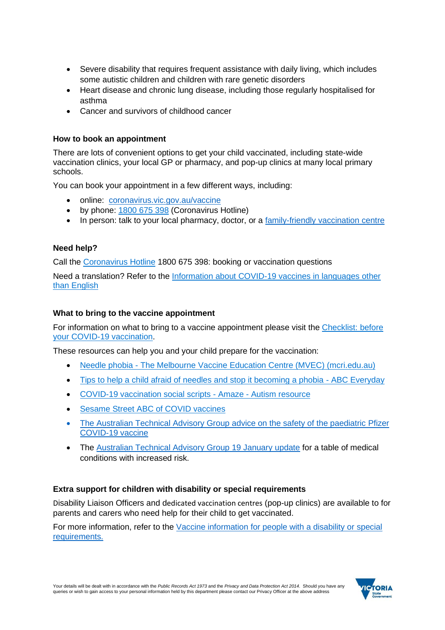- Severe disability that requires frequent assistance with daily living, which includes some autistic children and children with rare genetic disorders
- Heart disease and chronic lung disease, including those regularly hospitalised for asthma
- Cancer and survivors of childhood cancer

# **How to book an appointment**

There are lots of convenient options to get your child vaccinated, including state-wide vaccination clinics, your local GP or pharmacy, and pop-up clinics at many local primary schools.

You can book your appointment in a few different ways, including:

- online: [coronavirus.vic.gov.au/vaccine](http://www.coronavirus.vic.gov.au/vaccine)
- by phone: [1800](tel:1800675398) 675 398 (Coronavirus Hotline)
- In person: talk to your local pharmacy, doctor, or a [family-friendly vaccination centre](https://list.comms.educationupdates.vic.gov.au/track/click?u=770f4d1425f14b0d9936ca688e358872&id=28a9b21188cc3469&e=a9313e1a5943460a)

## **Need help?**

Call the [Coronavirus Hotline](https://www.coronavirus.vic.gov.au/contact-us) 1800 675 398: booking or vaccination questions

Need a translation? Refer to the [Information about COVID-19 vaccines in languages other](https://www.coronavirus.vic.gov.au/translated-information-about-covid-19-vaccines)  [than English](https://www.coronavirus.vic.gov.au/translated-information-about-covid-19-vaccines)

## **What to bring to the vaccine appointment**

For information on what to bring to a vaccine appointment please visit the [Checklist: before](https://www.coronavirus.vic.gov.au/checklist-your-covid-19-vaccination#what-to-bring-with-you-to-your-vaccine-appointment)  [your COVID-19 vaccination.](https://www.coronavirus.vic.gov.au/checklist-your-covid-19-vaccination#what-to-bring-with-you-to-your-vaccine-appointment)

These resources can help you and your child prepare for the vaccination:

- Needle phobia [The Melbourne Vaccine Education Centre \(MVEC\) \(mcri.edu.au\)](https://mvec.mcri.edu.au/references/needle-phobia/)
- [Tips to help a child afraid of needles and stop it becoming a phobia -](https://www.abc.net.au/everyday/how-to-help-if-your-child-is-afraid-of-needles/11838692) ABC Everyday
- [COVID-19 vaccination social scripts -](https://www.amaze.org.au/support/resources/covid-19-vaccination-social-scripts/) Amaze Autism resource
- [Sesame Street ABC of COVID vaccines](https://www.youtube.com/watch?v=yPlhRUF2aXA)
- The Australian Technical Advisory Group advice on the safety of the paediatric Pfizer [COVID-19 vaccine](https://www.health.gov.au/resources/publications/atagi-recommendations-on-pfizer-covid-19-vaccine-use-in-children-aged-5-to-11-years)
- The [Australian Technical Advisory Group 19 January update](https://www.health.gov.au/news/atagi-update-following-weekly-covid-19-meeting-19-january-2022) for a table of medical conditions with increased risk.

### **Extra support for children with disability or special requirements**

Disability Liaison Officers and dedicated vaccination centres (pop-up clinics) are available to for parents and carers who need help for their child to get vaccinated.

For more information, refer to the [Vaccine information for people with a disability or special](https://www.coronavirus.vic.gov.au/vaccination-information-people-disability)  [requirements.](https://www.coronavirus.vic.gov.au/vaccination-information-people-disability)